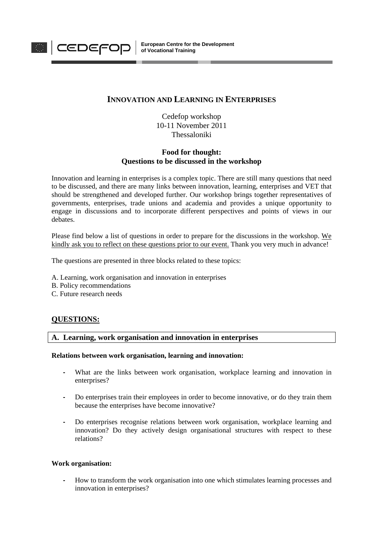

# **INNOVATION AND LEARNING IN ENTERPRISES**

Cedefop workshop 10-11 November 2011 Thessaloniki

# **Food for thought: Questions to be discussed in the workshop**

Innovation and learning in enterprises is a complex topic. There are still many questions that need to be discussed, and there are many links between innovation, learning, enterprises and VET that should be strengthened and developed further. Our workshop brings together representatives of governments, enterprises, trade unions and academia and provides a unique opportunity to engage in discussions and to incorporate different perspectives and points of views in our debates.

Please find below a list of questions in order to prepare for the discussions in the workshop. We kindly ask you to reflect on these questions prior to our event. Thank you very much in advance!

The questions are presented in three blocks related to these topics:

A. Learning, work organisation and innovation in enterprises

- B. Policy recommendations
- C. Future research needs

# **QUESTIONS:**

# **A. Learning, work organisation and innovation in enterprises**

# **Relations between work organisation, learning and innovation:**

- What are the links between work organisation, workplace learning and innovation in enterprises?
- Do enterprises train their employees in order to become innovative, or do they train them because the enterprises have become innovative?
- Do enterprises recognise relations between work organisation, workplace learning and innovation? Do they actively design organisational structures with respect to these relations?

# **Work organisation:**

- How to transform the work organisation into one which stimulates learning processes and innovation in enterprises?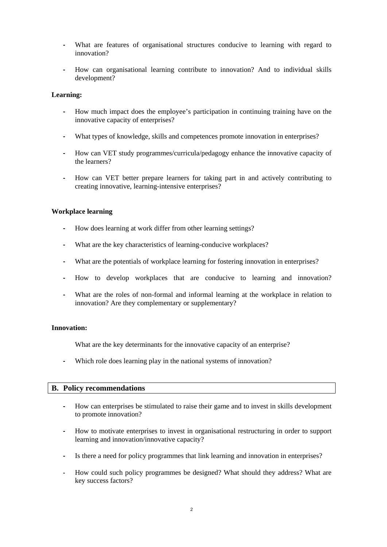- What are features of organisational structures conducive to learning with regard to innovation?
- How can organisational learning contribute to innovation? And to individual skills development?

# **Learning:**

- How much impact does the employee's participation in continuing training have on the innovative capacity of enterprises?
- What types of knowledge, skills and competences promote innovation in enterprises?
- How can VET study programmes/curricula/pedagogy enhance the innovative capacity of the learners?
- How can VET better prepare learners for taking part in and actively contributing to creating innovative, learning-intensive enterprises?

# **Workplace learning**

- How does learning at work differ from other learning settings?
- What are the key characteristics of learning-conducive workplaces?
- What are the potentials of workplace learning for fostering innovation in enterprises?
- How to develop workplaces that are conducive to learning and innovation?
- What are the roles of non-formal and informal learning at the workplace in relation to innovation? Are they complementary or supplementary?

# **Innovation:**

What are the key determinants for the innovative capacity of an enterprise?

Which role does learning play in the national systems of innovation?

# **B. Policy recommendations**

- How can enterprises be stimulated to raise their game and to invest in skills development to promote innovation?
- How to motivate enterprises to invest in organisational restructuring in order to support learning and innovation/innovative capacity?
- Is there a need for policy programmes that link learning and innovation in enterprises?
- How could such policy programmes be designed? What should they address? What are key success factors?